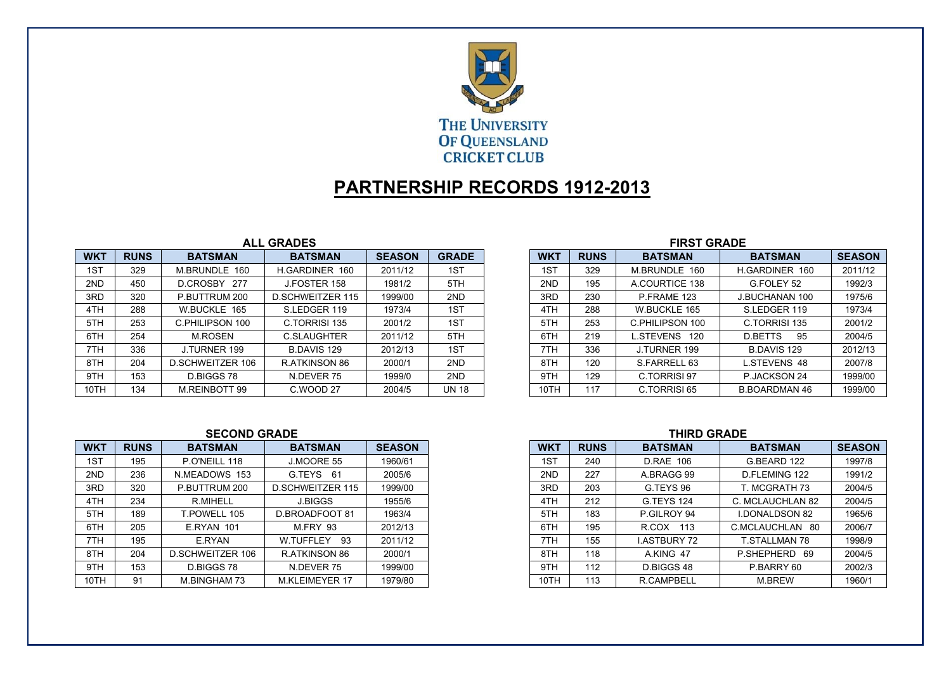

# **PARTNERSHIP RECORDS 1912-2013**

### **ALL GRADES**

| <b>WKT</b> | <b>RUNS</b> | <b>BATSMAN</b>          | <b>BATSMAN</b>          | <b>SEASON</b> | <b>GRADE</b> | <b>WKT</b> | <b>RUNS</b> | <b>BATSMAN</b>   | <b>BATSMAN</b>        | <b>SEASON</b> |
|------------|-------------|-------------------------|-------------------------|---------------|--------------|------------|-------------|------------------|-----------------------|---------------|
| 1ST        | 329         | M.BRUNDLE 160           | H.GARDINER 160          | 2011/12       | 1ST          | 1ST        | 329         | M.BRUNDLE 160    | H.GARDINER 160        | 2011/12       |
| 2ND        | 450         | 277<br>D.CROSBY         | J.FOSTER 158            | 1981/2        | 5TH          | 2ND        | 195         | A.COURTICE 138   | G.FOLEY 52            | 1992/3        |
| 3RD        | 320         | P.BUTTRUM 200           | <b>D.SCHWEITZER 115</b> | 1999/00       | 2ND          | 3RD        | 230         | P.FRAME 123      | <b>J.BUCHANAN 100</b> | 1975/6        |
| 4TH        | 288         | W.BUCKLE 165            | S.LEDGER 119            | 1973/4        | 1ST          | 4TH        | 288         | W.BUCKLE 165     | S.LEDGER 119          | 1973/4        |
| 5TH        | 253         | C.PHILIPSON 100         | C.TORRISI 135           | 2001/2        | 1ST          | 5TH        | 253         | C.PHILIPSON 100  | C.TORRISI 135         | 2001/2        |
| 6TH        | 254         | <b>M.ROSEN</b>          | <b>C.SLAUGHTER</b>      | 2011/12       | 5TH          | 6TH        | 219         | L.STEVENS<br>120 | <b>D.BETTS</b><br>95  | 2004/5        |
| 7TH        | 336         | J.TURNER 199            | <b>B.DAVIS 129</b>      | 2012/13       | 1ST          | 7TH        | 336         | J.TURNER 199     | <b>B.DAVIS 129</b>    | 2012/13       |
| 8TH        | 204         | <b>D.SCHWEITZER 106</b> | R.ATKINSON 86           | 2000/1        | 2ND          | 8TH        | 120         | S.FARRELL 63     | L.STEVENS 48          | 2007/8        |
| 9TH        | 153         | D.BIGGS 78              | N.DEVER 75              | 1999/0        | 2ND          | 9TH        | 129         | C.TORRISI 97     | P.JACKSON 24          | 1999/00       |
| 10TH       | 134         | M.REINBOTT 99           | C.WOOD 27               | 2004/5        | <b>UN 18</b> | 10TH       | 117         | C.TORRISI 65     | <b>B.BOARDMAN 46</b>  | 1999/00       |

## **FIRST GRADE**

| <b>WKT</b> | <b>RUNS</b> | <b>BATSMAN</b>  | <b>BATSMAN</b>        | <b>SEASON</b> |
|------------|-------------|-----------------|-----------------------|---------------|
| 1ST        | 329         | M.BRUNDLE 160   | H.GARDINER 160        | 2011/12       |
| 2ND        | 195         | A.COURTICE 138  | G.FOLEY 52            | 1992/3        |
| 3RD        | 230         | P.FRAME 123     | <b>J.BUCHANAN 100</b> | 1975/6        |
| 4TH        | 288         | W.BUCKLE 165    | S.LEDGER 119          | 1973/4        |
| 5TH        | 253         | C.PHILIPSON 100 | C.TORRISI 135         | 2001/2        |
| 6TH        | 219         | L.STEVENS 120   | <b>D.BETTS</b><br>95  | 2004/5        |
| 7TH        | 336         | J.TURNER 199    | <b>B.DAVIS 129</b>    | 2012/13       |
| 8TH        | 120         | S.FARRELL 63    | <b>L.STEVENS 48</b>   | 2007/8        |
| 9TH        | 129         | C.TORRISI 97    | P.JACKSON 24          | 1999/00       |
| 10TH       | 117         | C.TORRISI 65    | <b>B.BOARDMAN 46</b>  | 1999/00       |

#### **SECOND GRADE**

| <b>WKT</b> | <b>RUNS</b> | <b>BATSMAN</b>          | <b>BATSMAN</b>          | <b>SEASON</b> | <b>WK1</b> | <b>RUNS</b> | <b>BATSMAN</b>     | <b>BATSMAN</b>        | <b>SEASON</b> |
|------------|-------------|-------------------------|-------------------------|---------------|------------|-------------|--------------------|-----------------------|---------------|
| 1ST        | 195         | P.O'NEILL 118           | J.MOORE 55              | 1960/61       | 1ST        | 240         | <b>D.RAE 106</b>   | G.BEARD 122           |               |
| 2ND        | 236         | N.MEADOWS 153           | G.TEYS 61               | 2005/6        | 2ND        | 227         | A.BRAGG 99         | D.FLEMING 122         |               |
| 3RD        | 320         | P.BUTTRUM 200           | <b>D.SCHWEITZER 115</b> | 1999/00       | 3RD        | 203         | G.TEYS 96          | T. MCGRATH 73         |               |
| 4TH        | 234         | R.MIHELL                | <b>J.BIGGS</b>          | 1955/6        | 4TH        | 212         | G.TEYS 124         | C. MCLAUCHLAN 82      |               |
| 5TH        | 189         | <b>F.POWELL 105</b>     | D.BROADFOOT 81          | 1963/4        | 5TH        | 183         | P.GILROY 94        | <b>I.DONALDSON 82</b> |               |
| 6TH        | 205         | <b>E.RYAN 101</b>       | M.FRY 93                | 2012/13       | 6TH        | 195         | R.COX 113          | C.MCLAUCHLAN 80       |               |
| 7TH        | 195         | E.RYAN                  | -93<br>W.TUFFLEY        | 2011/12       | 7TH        | 155         | <b>LASTBURY 72</b> | T STALLMAN 78         |               |
| 8TH        | 204         | <b>D.SCHWEITZER 106</b> | R.ATKINSON 86           | 2000/1        | 8TH        | 118         | A.KING 47          | P.SHEPHERD 69         |               |
| 9TH        | 153         | D.BIGGS 78              | N.DEVER 75              | 1999/00       | 9TH        | 112         | D.BIGGS 48         | P.BARRY 60            |               |
| 10TH       | 91          | M.BINGHAM 73            | M.KLEIMEYER 17          | 1979/80       | 10TH       | 113         | <b>R.CAMPBELL</b>  | M.BREW                |               |

| S | <b>BATSMAN</b>    | <b>SEASON</b>    |        |
|---|-------------------|------------------|--------|
|   | <b>D.RAE 106</b>  | G.BEARD 122      | 1997/8 |
|   | A.BRAGG 99        | D.FLEMING 122    | 1991/2 |
|   | G.TEYS 96         | T. MCGRATH 73    | 2004/5 |
|   | <b>G.TEYS 124</b> | C. MCLAUCHLAN 82 | 2004/5 |
|   |                   |                  |        |

| <del>.</del> | <u>LIL</u> | <u>U.ILIU ILT</u>  | <u>U. IVIULAUUI ILAINUL</u> | $200 - 100$ |
|--------------|------------|--------------------|-----------------------------|-------------|
| 5TH          | 183        | P.GILROY 94        | <b>I.DONALDSON 82</b>       | 1965/6      |
| 6TH          | 195        | R.COX<br>113       | C.MCLAUCHLAN 80             | 2006/7      |
| 7TH          | 155        | <b>LASTBURY 72</b> | <b>T.STALLMAN 78</b>        | 1998/9      |
| 8TH          | 118        | A.KING 47          | P.SHEPHERD<br>69            | 2004/5      |
| 9TH          | 112        | D.BIGGS 48         | P.BARRY 60                  | 2002/3      |
| 10TH         | 113        | R.CAMPBELL         | <b>M.BREW</b>               | 1960/1      |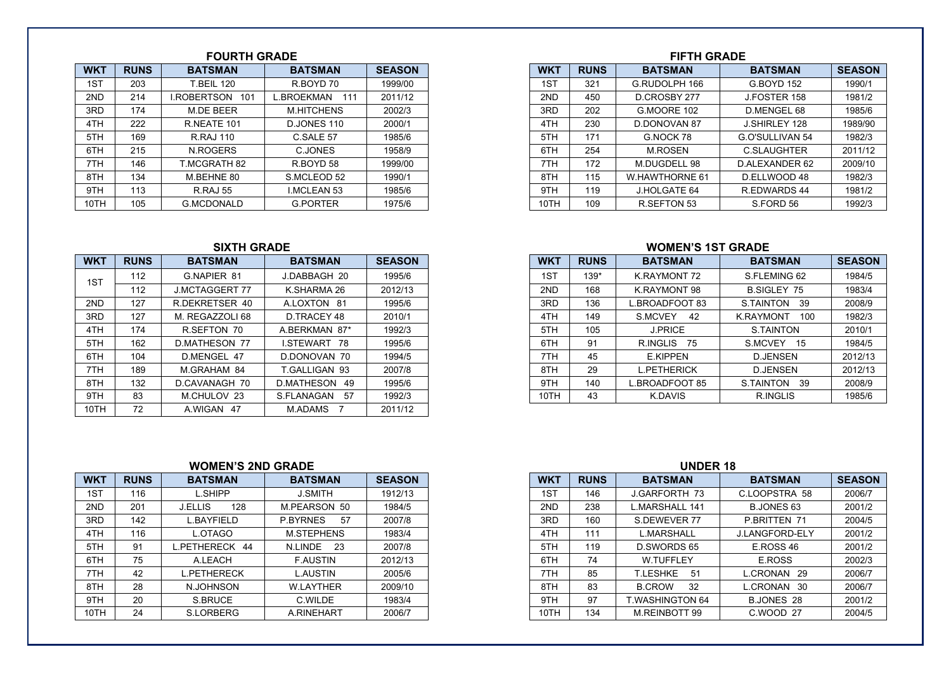### **FOURTH GRADE**

| <b>WKT</b> | <b>RUNS</b> | <b>BATSMAN</b>     | <b>BATSMAN</b>     | <b>SEASON</b> |
|------------|-------------|--------------------|--------------------|---------------|
| 1ST        | 203         | <b>T.BEIL 120</b>  | R.BOYD 70          | 1999/00       |
| 2ND        | 214         | I.ROBERTSON<br>101 | BROEKMAN<br>111    | 2011/12       |
| 3RD        | 174         | M.DE BEER          | <b>M.HITCHENS</b>  | 2002/3        |
| 4TH        | 222         | R.NEATE 101        | D.JONES 110        | 2000/1        |
| 5TH        | 169         | R.RAJ 110          | C.SALE 57          | 1985/6        |
| 6TH        | 215         | N.ROGERS           | C.JONES            | 1958/9        |
| 7TH        | 146         | MCGRATH 82         | R.BOYD 58          | 1999/00       |
| 8TH        | 134         | M.BEHNE 80         | S.MCLEOD 52        | 1990/1        |
| 9TH        | 113         | <b>R.RAJ 55</b>    | <b>I.MCLEAN 53</b> | 1985/6        |
| 10TH       | 105         | <b>G.MCDONALD</b>  | <b>G.PORTER</b>    | 1975/6        |

#### **SIXTH GRADE**

| <b>WKT</b> | <b>RUNS</b> | <b>BATSMAN</b>        | <b>BATSMAN</b>            | <b>SEASON</b> |
|------------|-------------|-----------------------|---------------------------|---------------|
| 1ST        | 112         | G.NAPIER 81           | J.DABBAGH 20              | 1995/6        |
|            | 112         | <b>J.MCTAGGERT 77</b> | K.SHARMA 26               | 2012/13       |
| 2ND        | 127         | R.DEKRETSER 40        | A.LOXTON 81               | 1995/6        |
| 3RD        | 127         | M. REGAZZOLI 68       | D.TRACEY 48               | 2010/1        |
| 4TH        | 174         | R SEFTON 70           | A.BERKMAN 87*             | 1992/3        |
| 5TH        | 162         | <b>D.MATHESON 77</b>  | <b>LSTEWART</b><br>-78    | 1995/6        |
| 6TH        | 104         | D.MENGEL 47           | D.DONOVAN 70              | 1994/5        |
| 7TH        | 189         | M.GRAHAM 84           | T.GALLIGAN 93             | 2007/8        |
| 8TH        | 132         | D.CAVANAGH 70         | D.MATHESON<br>49          | 1995/6        |
| 9TH        | 83          | M.CHULOV 23           | S.FLANAGAN<br>57          | 1992/3        |
| 10TH       | 72          | A.WIGAN<br>47         | M.ADAMS<br>$\overline{7}$ | 2011/12       |

#### **WOMEN'S 2ND GRADE WOMEN'S 2ND GRADE**

| <b>WKT</b> | <b>RUNS</b> | <b>BATSMAN</b>        | <b>BATSMAN</b>        | <b>SEASON</b> |
|------------|-------------|-----------------------|-----------------------|---------------|
| 1ST        | 116         | L.SHIPP               | <b>J.SMITH</b>        | 1912/13       |
| 2ND        | 201         | <b>J.ELLIS</b><br>128 | M.PEARSON 50          | 1984/5        |
| 3RD        | 142         | <b>L.BAYFIELD</b>     | <b>P.BYRNES</b><br>57 | 2007/8        |
| 4TH        | 116         | L.OTAGO               | <b>M.STEPHENS</b>     | 1983/4        |
| 5TH        | 91          | L.PETHERECK 44        | N.LINDE<br>23         | 2007/8        |
| 6TH        | 75          | A.LEACH               | <b>F.AUSTIN</b>       | 2012/13       |
| 7TH        | 42          | <b>L.PETHERECK</b>    | <b>L.AUSTIN</b>       | 2005/6        |
| 8TH        | 28          | N.JOHNSON             | <b>W.LAYTHER</b>      | 2009/10       |
| 9TH        | 20          | S.BRUCE               | C.WILDE               | 1983/4        |
| 10TH       | 24          | <b>S.LORBERG</b>      | A RINEHART            | 2006/7        |

#### **FIFTH GRADE** WKT | RUNS | BATSMAN | BATSMAN | SEASON | | WKT | RUNS | BATSMAN | BATSMAN | SEASON **SEASON** 1981/2 1985/6 1989/90 1982/3 2011/12 7TH 172 M.DUGDELL 98 D.ALEXANDER 62 2009/10 8TH 115 W.HAWTHORNE 61 D.ELLWOOD 48 1982/3 1981/2

#### **WOMEN'S 1ST GRADE**

| <b>WKT</b> | <b>RUNS</b> | <b>BATSMAN</b>        | <b>BATSMAN</b>      | <b>SEASON</b> |
|------------|-------------|-----------------------|---------------------|---------------|
| 1ST        | 112         | G.NAPIER 81           | J.DABBAGH 20        | 1995/6        |
|            | 112         | <b>J.MCTAGGERT 77</b> | K.SHARMA 26         | 2012/13       |
| 2ND        | 127         | R.DEKRETSER 40        | ALOXTON 81          | 1995/6        |
| 3RD        | 127         | M. REGAZZOLI 68       | D.TRACEY 48         | 2010/1        |
| 4TH        | 174         | R.SEFTON 70           | A.BERKMAN 87*       | 1992/3        |
| 5TH        | 162         | <b>D.MATHESON 77</b>  | <b>I.STEWART 78</b> | 1995/6        |
| 6TH        | 104         | D.MENGEL 47           | D.DONOVAN 70        | 1994/5        |
| 7TH        | 189         | M.GRAHAM 84           | T.GALLIGAN 93       | 2007/8        |
| 8TH        | 132         | D.CAVANAGH 70         | D.MATHESON 49       | 1995/6        |
| 9TH        | 83          | M.CHULOV 23           | -57<br>S.FLANAGAN   | 1992/3        |

| <b>WKT</b> | <b>RUNS</b> | <b>BATSMAN</b> | <b>BATSMAN</b>    | <b>SEASON</b> |
|------------|-------------|----------------|-------------------|---------------|
| 1ST        | 116         | L.SHIPP        | <b>J.SMITH</b>    | 1912/13       |
| 2ND        | 201         | 128<br>J.ELLIS | M.PEARSON 50      | 1984/5        |
| 3RD        | 142         | L.BAYFIELD     | 57<br>P.BYRNES    | 2007/8        |
| 4TH        | 116         | L.OTAGO        | <b>M.STEPHENS</b> | 1983/4        |
| 5TH        | 91          | .PETHERECK 44  | - 23<br>N.LINDE   | 2007/8        |
| 6TH        | 75          | A.LEACH        | <b>F.AUSTIN</b>   | 2012/13       |
| 7TH        | 42          | PETHERECK      | <b>L.AUSTIN</b>   | 2005/6        |
| 8TH        | 28          | N.JOHNSON      | <b>W.LAYTHER</b>  | 2009/10       |
| 9TH        | 20          | S.BRUCE        | C.WILDE           | 1983/4        |
| 10TH       | -24         | S.LORBERG      | A.RINEHART        | 2006/7        |